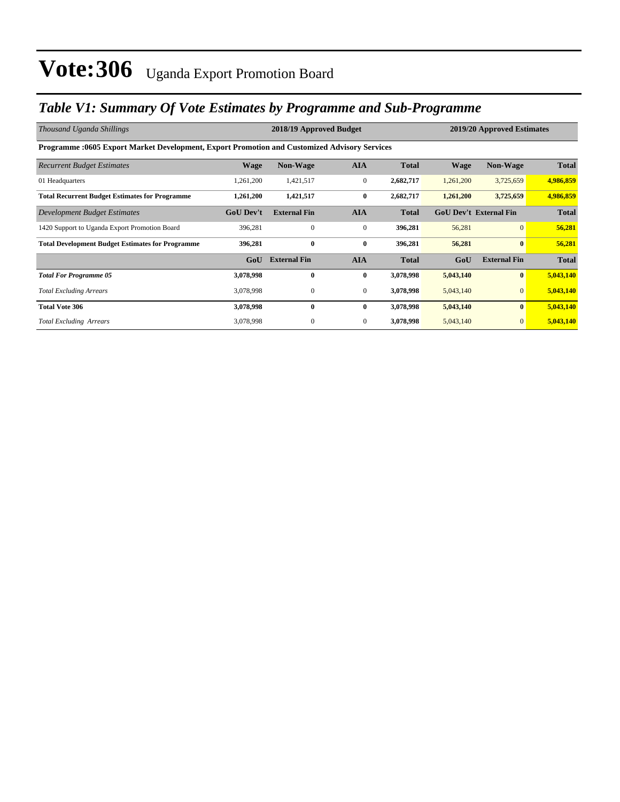### *Table V1: Summary Of Vote Estimates by Programme and Sub-Programme*

| Thousand Uganda Shillings                                                                    | 2018/19 Approved Budget |                     |                  |              |             | 2019/20 Approved Estimates    |              |  |  |
|----------------------------------------------------------------------------------------------|-------------------------|---------------------|------------------|--------------|-------------|-------------------------------|--------------|--|--|
| Programme :0605 Export Market Development, Export Promotion and Customized Advisory Services |                         |                     |                  |              |             |                               |              |  |  |
| <b>Recurrent Budget Estimates</b>                                                            | <b>Wage</b>             | Non-Wage            | <b>AIA</b>       | <b>Total</b> | <b>Wage</b> | Non-Wage                      | <b>Total</b> |  |  |
| 01 Headquarters                                                                              | 1,261,200               | 1,421,517           | $\mathbf{0}$     | 2,682,717    | 1,261,200   | 3,725,659                     | 4,986,859    |  |  |
| <b>Total Recurrent Budget Estimates for Programme</b>                                        | 1,261,200               | 1,421,517           | $\bf{0}$         | 2,682,717    | 1,261,200   | 3,725,659                     | 4,986,859    |  |  |
| Development Budget Estimates                                                                 | <b>GoU Dev't</b>        | <b>External Fin</b> | <b>AIA</b>       | <b>Total</b> |             | <b>GoU Dev't External Fin</b> | <b>Total</b> |  |  |
| 1420 Support to Uganda Export Promotion Board                                                | 396,281                 | $\mathbf{0}$        | $\boldsymbol{0}$ | 396,281      | 56,281      | $\overline{0}$                | 56,281       |  |  |
| <b>Total Development Budget Estimates for Programme</b>                                      | 396,281                 | $\bf{0}$            | $\bf{0}$         | 396,281      | 56,281      | $\bf{0}$                      | 56,281       |  |  |
|                                                                                              | GoU                     | <b>External Fin</b> | <b>AIA</b>       | <b>Total</b> | GoU         | <b>External Fin</b>           | <b>Total</b> |  |  |
| <b>Total For Programme 05</b>                                                                | 3,078,998               | $\bf{0}$            | $\bf{0}$         | 3,078,998    | 5,043,140   | $\bf{0}$                      | 5,043,140    |  |  |
| <b>Total Excluding Arrears</b>                                                               | 3,078,998               | $\mathbf{0}$        | $\overline{0}$   | 3,078,998    | 5,043,140   | $\mathbf{0}$                  | 5,043,140    |  |  |
| <b>Total Vote 306</b>                                                                        | 3,078,998               | $\mathbf{0}$        | $\bf{0}$         | 3,078,998    | 5,043,140   | $\bf{0}$                      | 5,043,140    |  |  |
| <b>Total Excluding Arrears</b>                                                               | 3,078,998               | $\mathbf{0}$        | $\overline{0}$   | 3,078,998    | 5,043,140   | $\mathbf{0}$                  | 5,043,140    |  |  |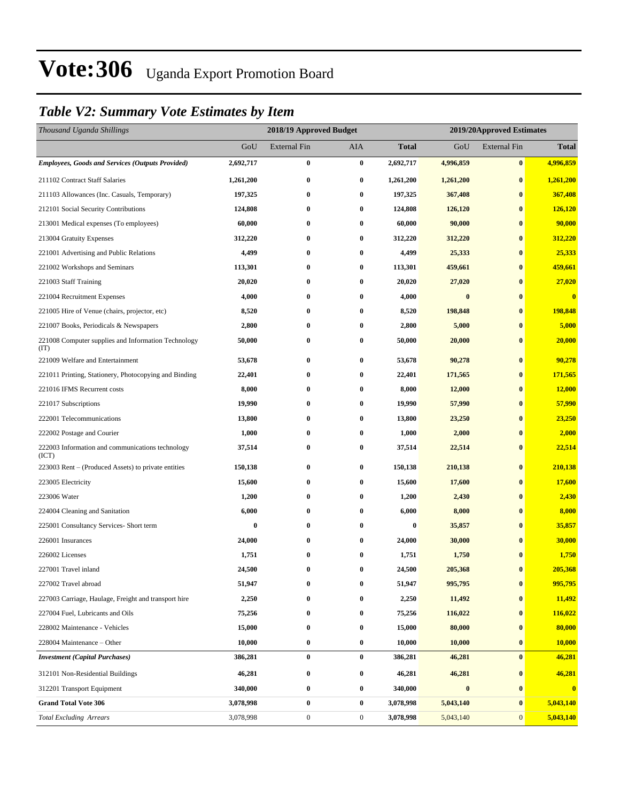### *Table V2: Summary Vote Estimates by Item*

| Thousand Uganda Shillings                                   |           | 2018/19 Approved Budget |                  |              | 2019/20Approved Estimates |                     |              |  |
|-------------------------------------------------------------|-----------|-------------------------|------------------|--------------|---------------------------|---------------------|--------------|--|
|                                                             | GoU       | <b>External Fin</b>     | <b>AIA</b>       | <b>Total</b> | GoU                       | <b>External Fin</b> | <b>Total</b> |  |
| <b>Employees, Goods and Services (Outputs Provided)</b>     | 2,692,717 | 0                       | $\bf{0}$         | 2,692,717    | 4,996,859                 | $\bf{0}$            | 4,996,859    |  |
| 211102 Contract Staff Salaries                              | 1,261,200 | $\boldsymbol{0}$        | $\bf{0}$         | 1,261,200    | 1,261,200                 | $\bf{0}$            | 1,261,200    |  |
| 211103 Allowances (Inc. Casuals, Temporary)                 | 197,325   | $\bf{0}$                | $\bf{0}$         | 197,325      | 367,408                   | $\bf{0}$            | 367,408      |  |
| 212101 Social Security Contributions                        | 124,808   | 0                       | $\bf{0}$         | 124,808      | 126,120                   | $\bf{0}$            | 126,120      |  |
| 213001 Medical expenses (To employees)                      | 60,000    | $\bf{0}$                | $\bf{0}$         | 60,000       | 90,000                    | $\bf{0}$            | 90,000       |  |
| 213004 Gratuity Expenses                                    | 312,220   | $\bf{0}$                | $\bf{0}$         | 312,220      | 312,220                   | $\bf{0}$            | 312,220      |  |
| 221001 Advertising and Public Relations                     | 4,499     | $\bf{0}$                | $\bf{0}$         | 4,499        | 25,333                    | $\bf{0}$            | 25,333       |  |
| 221002 Workshops and Seminars                               | 113,301   | $\boldsymbol{0}$        | $\bf{0}$         | 113,301      | 459,661                   | $\bf{0}$            | 459,661      |  |
| 221003 Staff Training                                       | 20,020    | $\bf{0}$                | $\bf{0}$         | 20,020       | 27,020                    | $\bf{0}$            | 27,020       |  |
| 221004 Recruitment Expenses                                 | 4,000     | $\bf{0}$                | $\bf{0}$         | 4,000        | $\bf{0}$                  | $\bf{0}$            | $\bf{0}$     |  |
| 221005 Hire of Venue (chairs, projector, etc)               | 8,520     | $\bf{0}$                | $\bf{0}$         | 8,520        | 198,848                   | $\bf{0}$            | 198,848      |  |
| 221007 Books, Periodicals & Newspapers                      | 2,800     | $\bf{0}$                | $\bf{0}$         | 2,800        | 5,000                     | $\bf{0}$            | 5,000        |  |
| 221008 Computer supplies and Information Technology<br>(TT) | 50,000    | $\boldsymbol{0}$        | $\bf{0}$         | 50,000       | 20,000                    | $\bf{0}$            | 20,000       |  |
| 221009 Welfare and Entertainment                            | 53,678    | $\bf{0}$                | $\bf{0}$         | 53,678       | 90,278                    | $\bf{0}$            | 90,278       |  |
| 221011 Printing, Stationery, Photocopying and Binding       | 22,401    | $\boldsymbol{0}$        | $\bf{0}$         | 22,401       | 171,565                   | $\bf{0}$            | 171,565      |  |
| 221016 IFMS Recurrent costs                                 | 8,000     | $\bf{0}$                | $\bf{0}$         | 8,000        | 12,000                    | $\bf{0}$            | 12,000       |  |
| 221017 Subscriptions                                        | 19,990    | $\bf{0}$                | $\bf{0}$         | 19,990       | 57,990                    | $\bf{0}$            | 57,990       |  |
| 222001 Telecommunications                                   | 13,800    | $\bf{0}$                | $\bf{0}$         | 13,800       | 23,250                    | $\bf{0}$            | 23,250       |  |
| 222002 Postage and Courier                                  | 1,000     | $\bf{0}$                | $\bf{0}$         | 1,000        | 2,000                     | $\bf{0}$            | 2,000        |  |
| 222003 Information and communications technology<br>(ICT)   | 37,514    | $\bf{0}$                | $\bf{0}$         | 37,514       | 22,514                    | $\bf{0}$            | 22,514       |  |
| 223003 Rent – (Produced Assets) to private entities         | 150,138   | $\bf{0}$                | $\bf{0}$         | 150,138      | 210,138                   | $\bf{0}$            | 210,138      |  |
| 223005 Electricity                                          | 15,600    | $\bf{0}$                | $\bf{0}$         | 15,600       | 17,600                    | $\bf{0}$            | 17,600       |  |
| 223006 Water                                                | 1,200     | $\bf{0}$                | $\bf{0}$         | 1,200        | 2,430                     | $\bf{0}$            | 2,430        |  |
| 224004 Cleaning and Sanitation                              | 6,000     | $\bf{0}$                | $\bf{0}$         | 6,000        | 8,000                     | $\bf{0}$            | 8,000        |  |
| 225001 Consultancy Services- Short term                     | $\bf{0}$  | $\boldsymbol{0}$        | $\bf{0}$         | $\bf{0}$     | 35,857                    | $\bf{0}$            | 35,857       |  |
| 226001 Insurances                                           | 24,000    | $\bf{0}$                | $\bf{0}$         | 24,000       | 30,000                    | $\bf{0}$            | 30,000       |  |
| 226002 Licenses                                             | 1,751     | $\bf{0}$                | $\bf{0}$         | 1,751        | 1,750                     | $\bf{0}$            | 1,750        |  |
| 227001 Travel inland                                        | 24,500    | $\bf{0}$                | $\bf{0}$         | 24,500       | 205,368                   | $\bf{0}$            | 205,368      |  |
| 227002 Travel abroad                                        | 51,947    | $\bf{0}$                | $\bf{0}$         | 51,947       | 995,795                   | $\bf{0}$            | 995,795      |  |
| 227003 Carriage, Haulage, Freight and transport hire        | 2,250     | $\boldsymbol{0}$        | $\bf{0}$         | 2,250        | 11,492                    | $\bf{0}$            | 11,492       |  |
| 227004 Fuel, Lubricants and Oils                            | 75,256    | $\bf{0}$                | $\bf{0}$         | 75,256       | 116,022                   | $\boldsymbol{0}$    | 116,022      |  |
| 228002 Maintenance - Vehicles                               | 15,000    | $\bf{0}$                | $\bf{0}$         | 15,000       | 80,000                    | $\bf{0}$            | 80,000       |  |
| 228004 Maintenance - Other                                  | 10,000    | $\bf{0}$                | $\bf{0}$         | 10,000       | 10,000                    | $\bf{0}$            | 10,000       |  |
| <b>Investment</b> (Capital Purchases)                       | 386,281   | $\pmb{0}$               | $\bf{0}$         | 386,281      | 46,281                    | $\bf{0}$            | 46,281       |  |
| 312101 Non-Residential Buildings                            | 46,281    | $\bf{0}$                | $\bf{0}$         | 46,281       | 46,281                    | $\bf{0}$            | 46,281       |  |
| 312201 Transport Equipment                                  | 340,000   | $\bf{0}$                | $\bf{0}$         | 340,000      | $\pmb{0}$                 | $\bf{0}$            | $\bf{0}$     |  |
| <b>Grand Total Vote 306</b>                                 | 3,078,998 | $\pmb{0}$               | $\bf{0}$         | 3,078,998    | 5,043,140                 | $\bf{0}$            | 5,043,140    |  |
| <b>Total Excluding Arrears</b>                              | 3,078,998 | $\boldsymbol{0}$        | $\boldsymbol{0}$ | 3,078,998    | 5,043,140                 | $\mathbf{0}$        | 5,043,140    |  |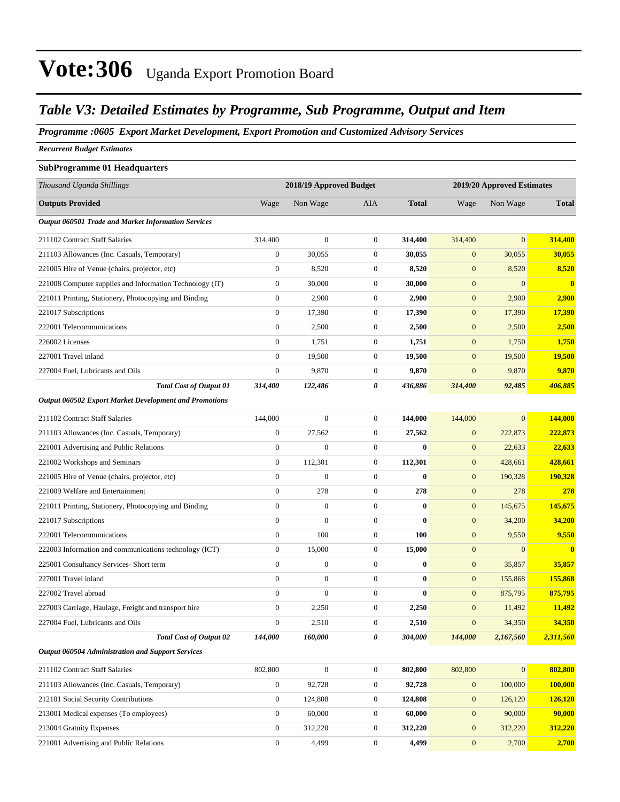#### *Table V3: Detailed Estimates by Programme, Sub Programme, Output and Item*

#### *Programme :0605 Export Market Development, Export Promotion and Customized Advisory Services*

*Recurrent Budget Estimates*

#### **SubProgramme 01 Headquarters**

| Thousand Uganda Shillings                                     |                  | 2018/19 Approved Budget |                  |              | 2019/20 Approved Estimates |                 |                          |
|---------------------------------------------------------------|------------------|-------------------------|------------------|--------------|----------------------------|-----------------|--------------------------|
| <b>Outputs Provided</b>                                       | Wage             | Non Wage                | AIA              | <b>Total</b> | Wage                       | Non Wage        | <b>Total</b>             |
| Output 060501 Trade and Market Information Services           |                  |                         |                  |              |                            |                 |                          |
| 211102 Contract Staff Salaries                                | 314,400          | $\boldsymbol{0}$        | $\mathbf{0}$     | 314,400      | 314,400                    | $\overline{0}$  | 314,400                  |
| 211103 Allowances (Inc. Casuals, Temporary)                   | $\boldsymbol{0}$ | 30,055                  | $\boldsymbol{0}$ | 30,055       | $\mathbf{0}$               | 30,055          | 30,055                   |
| 221005 Hire of Venue (chairs, projector, etc)                 | $\boldsymbol{0}$ | 8,520                   | $\boldsymbol{0}$ | 8,520        | $\mathbf{0}$               | 8,520           | 8,520                    |
| 221008 Computer supplies and Information Technology (IT)      | $\boldsymbol{0}$ | 30,000                  | $\boldsymbol{0}$ | 30,000       | $\mathbf{0}$               | $\overline{0}$  | $\bf{0}$                 |
| 221011 Printing, Stationery, Photocopying and Binding         | $\boldsymbol{0}$ | 2,900                   | $\boldsymbol{0}$ | 2,900        | $\mathbf{0}$               | 2,900           | 2,900                    |
| 221017 Subscriptions                                          | $\boldsymbol{0}$ | 17,390                  | $\boldsymbol{0}$ | 17,390       | $\mathbf{0}$               | 17,390          | 17,390                   |
| 222001 Telecommunications                                     | $\mathbf{0}$     | 2,500                   | $\boldsymbol{0}$ | 2,500        | $\mathbf{0}$               | 2,500           | 2,500                    |
| 226002 Licenses                                               | $\mathbf{0}$     | 1,751                   | $\boldsymbol{0}$ | 1,751        | $\mathbf{0}$               | 1,750           | 1,750                    |
| 227001 Travel inland                                          | $\mathbf{0}$     | 19,500                  | $\boldsymbol{0}$ | 19,500       | $\mathbf{0}$               | 19,500          | 19,500                   |
| 227004 Fuel, Lubricants and Oils                              | $\boldsymbol{0}$ | 9,870                   | $\boldsymbol{0}$ | 9,870        | $\mathbf{0}$               | 9,870           | 9,870                    |
| <b>Total Cost of Output 01</b>                                | 314,400          | 122,486                 | 0                | 436,886      | 314,400                    | 92,485          | 406,885                  |
| <b>Output 060502 Export Market Development and Promotions</b> |                  |                         |                  |              |                            |                 |                          |
| 211102 Contract Staff Salaries                                | 144,000          | $\boldsymbol{0}$        | $\boldsymbol{0}$ | 144,000      | 144,000                    | $\overline{0}$  | 144,000                  |
| 211103 Allowances (Inc. Casuals, Temporary)                   | $\boldsymbol{0}$ | 27,562                  | $\boldsymbol{0}$ | 27,562       | $\mathbf{0}$               | 222,873         | 222,873                  |
| 221001 Advertising and Public Relations                       | $\boldsymbol{0}$ | $\boldsymbol{0}$        | $\boldsymbol{0}$ | $\bf{0}$     | $\mathbf{0}$               | 22,633          | 22,633                   |
| 221002 Workshops and Seminars                                 | $\boldsymbol{0}$ | 112,301                 | $\boldsymbol{0}$ | 112,301      | $\mathbf{0}$               | 428,661         | 428,661                  |
| 221005 Hire of Venue (chairs, projector, etc)                 | $\boldsymbol{0}$ | $\mathbf{0}$            | $\boldsymbol{0}$ | $\bf{0}$     | $\mathbf{0}$               | 190,328         | 190,328                  |
| 221009 Welfare and Entertainment                              | $\mathbf{0}$     | 278                     | $\boldsymbol{0}$ | 278          | $\mathbf{0}$               | 278             | 278                      |
| 221011 Printing, Stationery, Photocopying and Binding         | $\boldsymbol{0}$ | $\boldsymbol{0}$        | $\boldsymbol{0}$ | $\bf{0}$     | $\mathbf{0}$               | 145,675         | 145,675                  |
| 221017 Subscriptions                                          | $\boldsymbol{0}$ | $\boldsymbol{0}$        | $\boldsymbol{0}$ | $\bf{0}$     | $\mathbf{0}$               | 34,200          | 34,200                   |
| 222001 Telecommunications                                     | $\overline{0}$   | 100                     | $\boldsymbol{0}$ | 100          | $\mathbf{0}$               | 9,550           | 9,550                    |
| 222003 Information and communications technology (ICT)        | $\boldsymbol{0}$ | 15,000                  | $\boldsymbol{0}$ | 15,000       | $\mathbf{0}$               | $\overline{0}$  | $\mathbf{0}$             |
| 225001 Consultancy Services- Short term                       | $\mathbf{0}$     | $\boldsymbol{0}$        | $\boldsymbol{0}$ | $\bf{0}$     | $\mathbf{0}$               | 35,857          | 35,857                   |
| 227001 Travel inland                                          | $\mathbf{0}$     | $\boldsymbol{0}$        | $\boldsymbol{0}$ | $\bf{0}$     | $\mathbf{0}$               | 155,868         | 155,868                  |
| 227002 Travel abroad                                          | $\boldsymbol{0}$ | $\boldsymbol{0}$        | $\boldsymbol{0}$ | $\bf{0}$     | $\mathbf{0}$               | 875,795         | 875,795                  |
| 227003 Carriage, Haulage, Freight and transport hire          | $\boldsymbol{0}$ | 2,250                   | $\boldsymbol{0}$ | 2,250        | $\mathbf{0}$               | 11,492          | 11,492                   |
| 227004 Fuel, Lubricants and Oils                              | $\boldsymbol{0}$ | 2,510                   | $\boldsymbol{0}$ | 2,510        | $\mathbf{0}$               | 34,350          | 34,350                   |
| <b>Total Cost of Output 02</b>                                | 144,000          | 160,000                 | 0                | 304,000      | 144,000                    | 2,167,560       | 2,311,560                |
| <b>Output 060504 Administration and Support Services</b>      |                  |                         |                  |              |                            |                 |                          |
|                                                               |                  |                         |                  |              |                            |                 |                          |
| 211102 Contract Staff Salaries                                | 802,800          | $\boldsymbol{0}$        | $\boldsymbol{0}$ | 802,800      | 802,800                    | $\vert 0 \vert$ | 802,800                  |
| 211103 Allowances (Inc. Casuals, Temporary)                   | $\boldsymbol{0}$ | 92,728                  | $\boldsymbol{0}$ | 92,728       | $\mathbf{0}$               | 100,000         | 100,000                  |
| 212101 Social Security Contributions                          | $\boldsymbol{0}$ | 124,808                 | $\boldsymbol{0}$ | 124,808      | $\mathbf{0}$               | 126,120         | <b>126,120</b><br>90,000 |
| 213001 Medical expenses (To employees)                        | $\boldsymbol{0}$ | 60,000                  | 0                | 60,000       | $\boldsymbol{0}$           | 90,000          |                          |
| 213004 Gratuity Expenses                                      | $\boldsymbol{0}$ | 312,220                 | $\boldsymbol{0}$ | 312,220      | $\mathbf{0}$               | 312,220         | 312,220                  |

221001 Advertising and Public Relations 0 4,499 0 **4,499** 0 2,700 **2,700**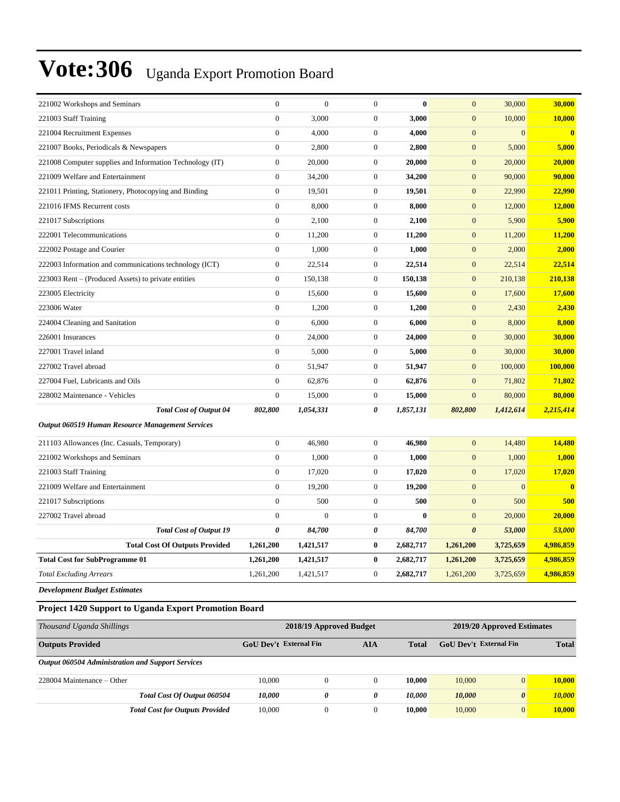| 221002 Workshops and Seminars                            | $\mathbf{0}$          | $\mathbf{0}$ | $\overline{0}$   | $\bf{0}$     | $\mathbf{0}$          | 30,000         | 30,000        |
|----------------------------------------------------------|-----------------------|--------------|------------------|--------------|-----------------------|----------------|---------------|
| 221003 Staff Training                                    | $\boldsymbol{0}$      | 3,000        | $\overline{0}$   | 3,000        | $\mathbf{0}$          | 10,000         | 10,000        |
| 221004 Recruitment Expenses                              | $\overline{0}$        | 4,000        | $\boldsymbol{0}$ | 4,000        | $\mathbf{0}$          | $\overline{0}$ | $\bf{0}$      |
| 221007 Books, Periodicals & Newspapers                   | $\mathbf{0}$          | 2,800        | $\boldsymbol{0}$ | 2,800        | $\boldsymbol{0}$      | 5,000          | 5,000         |
| 221008 Computer supplies and Information Technology (IT) | $\boldsymbol{0}$      | 20,000       | $\boldsymbol{0}$ | 20,000       | $\boldsymbol{0}$      | 20,000         | <b>20,000</b> |
| 221009 Welfare and Entertainment                         | $\theta$              | 34,200       | $\boldsymbol{0}$ | 34,200       | $\mathbf{0}$          | 90,000         | 90,000        |
| 221011 Printing, Stationery, Photocopying and Binding    | $\boldsymbol{0}$      | 19,501       | $\boldsymbol{0}$ | 19,501       | $\mathbf{0}$          | 22,990         | 22,990        |
| 221016 IFMS Recurrent costs                              | $\mathbf{0}$          | 8,000        | $\boldsymbol{0}$ | 8,000        | $\mathbf{0}$          | 12,000         | 12,000        |
| 221017 Subscriptions                                     | $\boldsymbol{0}$      | 2,100        | $\boldsymbol{0}$ | 2,100        | $\boldsymbol{0}$      | 5,900          | 5,900         |
| 222001 Telecommunications                                | $\boldsymbol{0}$      | 11,200       | $\boldsymbol{0}$ | 11,200       | $\boldsymbol{0}$      | 11,200         | 11,200        |
| 222002 Postage and Courier                               | $\overline{0}$        | 1,000        | $\boldsymbol{0}$ | 1,000        | $\mathbf{0}$          | 2,000          | 2,000         |
| 222003 Information and communications technology (ICT)   | $\boldsymbol{0}$      | 22,514       | $\boldsymbol{0}$ | 22,514       | $\mathbf{0}$          | 22,514         | 22,514        |
| 223003 Rent – (Produced Assets) to private entities      | $\mathbf{0}$          | 150,138      | $\boldsymbol{0}$ | 150,138      | $\mathbf{0}$          | 210,138        | 210,138       |
| 223005 Electricity                                       | $\boldsymbol{0}$      | 15,600       | $\boldsymbol{0}$ | 15,600       | $\mathbf{0}$          | 17,600         | 17,600        |
| 223006 Water                                             | $\boldsymbol{0}$      | 1,200        | $\boldsymbol{0}$ | 1,200        | $\mathbf{0}$          | 2,430          | 2,430         |
| 224004 Cleaning and Sanitation                           | $\mathbf{0}$          | 6,000        | $\boldsymbol{0}$ | 6,000        | $\mathbf{0}$          | 8,000          | 8,000         |
| 226001 Insurances                                        | $\boldsymbol{0}$      | 24,000       | $\boldsymbol{0}$ | 24,000       | $\mathbf{0}$          | 30,000         | 30,000        |
| 227001 Travel inland                                     | $\overline{0}$        | 5,000        | $\overline{0}$   | 5,000        | $\mathbf{0}$          | 30,000         | 30,000        |
| 227002 Travel abroad                                     | $\boldsymbol{0}$      | 51,947       | $\boldsymbol{0}$ | 51,947       | $\mathbf{0}$          | 100,000        | 100,000       |
| 227004 Fuel, Lubricants and Oils                         | $\boldsymbol{0}$      | 62,876       | $\boldsymbol{0}$ | 62,876       | $\mathbf{0}$          | 71,802         | 71,802        |
| 228002 Maintenance - Vehicles                            | $\overline{0}$        | 15,000       | $\overline{0}$   | 15,000       | $\overline{0}$        | 80,000         | 80,000        |
| <b>Total Cost of Output 04</b>                           | 802,800               | 1,054,331    | 0                | 1,857,131    | 802,800               | 1,412,614      | 2,215,414     |
| Output 060519 Human Resource Management Services         |                       |              |                  |              |                       |                |               |
| 211103 Allowances (Inc. Casuals, Temporary)              | $\theta$              | 46,980       | $\boldsymbol{0}$ | 46,980       | $\mathbf{0}$          | 14,480         | 14,480        |
| 221002 Workshops and Seminars                            | $\boldsymbol{0}$      | 1,000        | $\boldsymbol{0}$ | 1,000        | $\mathbf{0}$          | 1,000          | 1,000         |
| 221003 Staff Training                                    | $\theta$              | 17,020       | $\boldsymbol{0}$ | 17,020       | $\mathbf{0}$          | 17,020         | 17,020        |
| 221009 Welfare and Entertainment                         | $\boldsymbol{0}$      | 19,200       | $\boldsymbol{0}$ | 19,200       | $\mathbf{0}$          | $\mathbf{0}$   | $\bf{0}$      |
| 221017 Subscriptions                                     | $\mathbf{0}$          | 500          | $\boldsymbol{0}$ | 500          | $\mathbf{0}$          | 500            | 500           |
| 227002 Travel abroad                                     | $\boldsymbol{0}$      | $\Omega$     | $\boldsymbol{0}$ | $\mathbf{0}$ | $\mathbf{0}$          | 20,000         | 20,000        |
| <b>Total Cost of Output 19</b>                           | $\boldsymbol{\theta}$ | 84,700       | 0                | 84,700       | $\boldsymbol{\theta}$ | 53,000         | 53,000        |
| <b>Total Cost Of Outputs Provided</b>                    | 1,261,200             | 1,421,517    | $\bf{0}$         | 2,682,717    | 1,261,200             | 3,725,659      | 4,986,859     |
| <b>Total Cost for SubProgramme 01</b>                    | 1,261,200             | 1,421,517    | $\bf{0}$         | 2,682,717    | 1,261,200             | 3,725,659      | 4,986,859     |
| <b>Total Excluding Arrears</b>                           | 1,261,200             | 1,421,517    | $\boldsymbol{0}$ | 2,682,717    | 1,261,200             | 3,725,659      | 4,986,859     |
| <b>Development Budget Estimates</b>                      |                       |              |                  |              |                       |                |               |

#### **Project 1420 Support to Uganda Export Promotion Board**

| Thousand Uganda Shillings                         |                               | 2018/19 Approved Budget | 2019/20 Approved Estimates |              |                               |                       |              |
|---------------------------------------------------|-------------------------------|-------------------------|----------------------------|--------------|-------------------------------|-----------------------|--------------|
| <b>Outputs Provided</b>                           | GoU Dev't External Fin<br>AIA |                         |                            | <b>Total</b> | <b>GoU</b> Dev't External Fin |                       | <b>Total</b> |
| Output 060504 Administration and Support Services |                               |                         |                            |              |                               |                       |              |
| 228004 Maintenance – Other                        | 10,000                        | 0                       | $\Omega$                   | 10,000       | 10,000                        | $\overline{0}$        | 10.000       |
| Total Cost Of Output 060504                       | 10.000                        | 0                       | 0                          | 10.000       | 10,000                        | $\boldsymbol{\theta}$ | 10.000       |
| <b>Total Cost for Outputs Provided</b>            | 10,000                        |                         | $\Omega$                   | 10.000       | 10,000                        | $\overline{0}$        | 10.000       |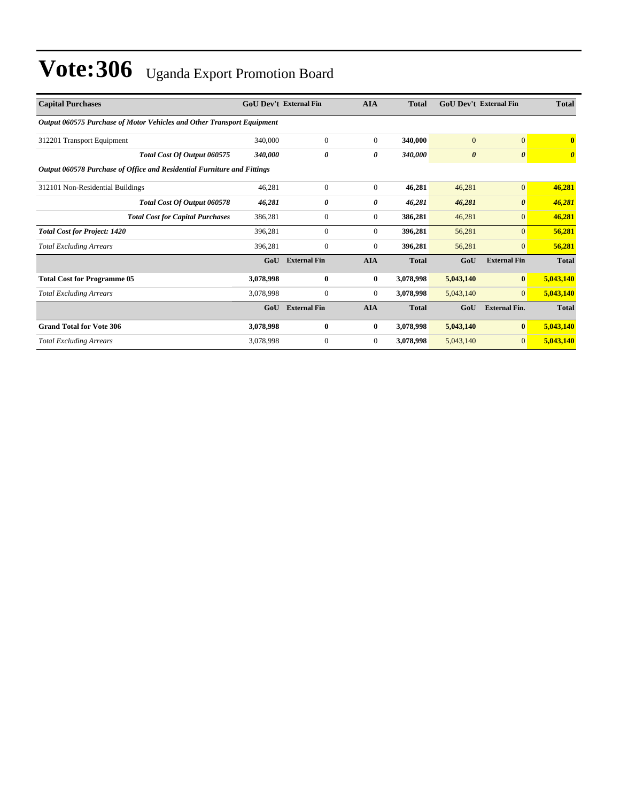| <b>Capital Purchases</b>                                                |           | <b>GoU Dev't External Fin</b> |              | <b>Total</b> | <b>GoU Dev't External Fin</b> |                       | <b>Total</b>            |
|-------------------------------------------------------------------------|-----------|-------------------------------|--------------|--------------|-------------------------------|-----------------------|-------------------------|
| Output 060575 Purchase of Motor Vehicles and Other Transport Equipment  |           |                               |              |              |                               |                       |                         |
| 312201 Transport Equipment                                              | 340,000   | $\mathbf{0}$                  | $\mathbf{0}$ | 340,000      | $\overline{0}$                | $\mathbf{0}$          | $\overline{\mathbf{0}}$ |
| Total Cost Of Output 060575                                             | 340,000   | 0                             | $\theta$     | 340,000      | $\boldsymbol{\theta}$         | $\boldsymbol{\theta}$ | $\boldsymbol{\theta}$   |
| Output 060578 Purchase of Office and Residential Furniture and Fittings |           |                               |              |              |                               |                       |                         |
| 312101 Non-Residential Buildings                                        | 46,281    | $\mathbf{0}$                  | $\mathbf{0}$ | 46,281       | 46,281                        | $\overline{0}$        | 46,281                  |
| Total Cost Of Output 060578                                             | 46,281    | 0                             | 0            | 46,281       | 46,281                        | $\boldsymbol{\theta}$ | 46,281                  |
| <b>Total Cost for Capital Purchases</b>                                 | 386,281   | $\Omega$                      | $\mathbf{0}$ | 386,281      | 46,281                        | $\mathbf{0}$          | 46,281                  |
| <b>Total Cost for Project: 1420</b>                                     | 396,281   | $\Omega$                      | $\mathbf{0}$ | 396,281      | 56,281                        | $\mathbf{0}$          | 56,281                  |
| <b>Total Excluding Arrears</b>                                          | 396,281   | $\Omega$                      | $\mathbf{0}$ | 396,281      | 56,281                        | $\mathbf{0}$          | 56,281                  |
|                                                                         | GoU       | <b>External Fin</b>           | <b>AIA</b>   | <b>Total</b> | GoU                           | <b>External Fin</b>   | <b>Total</b>            |
| <b>Total Cost for Programme 05</b>                                      | 3,078,998 | $\mathbf{0}$                  | $\bf{0}$     | 3,078,998    | 5,043,140                     | $\vert 0 \vert$       | 5,043,140               |
| <b>Total Excluding Arrears</b>                                          | 3,078,998 | $\Omega$                      | $\mathbf{0}$ | 3,078,998    | 5,043,140                     | $\overline{0}$        | 5,043,140               |
|                                                                         | GoU       | <b>External Fin</b>           | <b>AIA</b>   | <b>Total</b> | GoU                           | <b>External Fin.</b>  | <b>Total</b>            |
| <b>Grand Total for Vote 306</b>                                         | 3,078,998 | $\bf{0}$                      | $\bf{0}$     | 3,078,998    | 5,043,140                     | $\bf{0}$              | 5,043,140               |
| <b>Total Excluding Arrears</b>                                          | 3,078,998 | $\mathbf{0}$                  | $\mathbf{0}$ | 3,078,998    | 5,043,140                     | $\overline{0}$        | 5,043,140               |